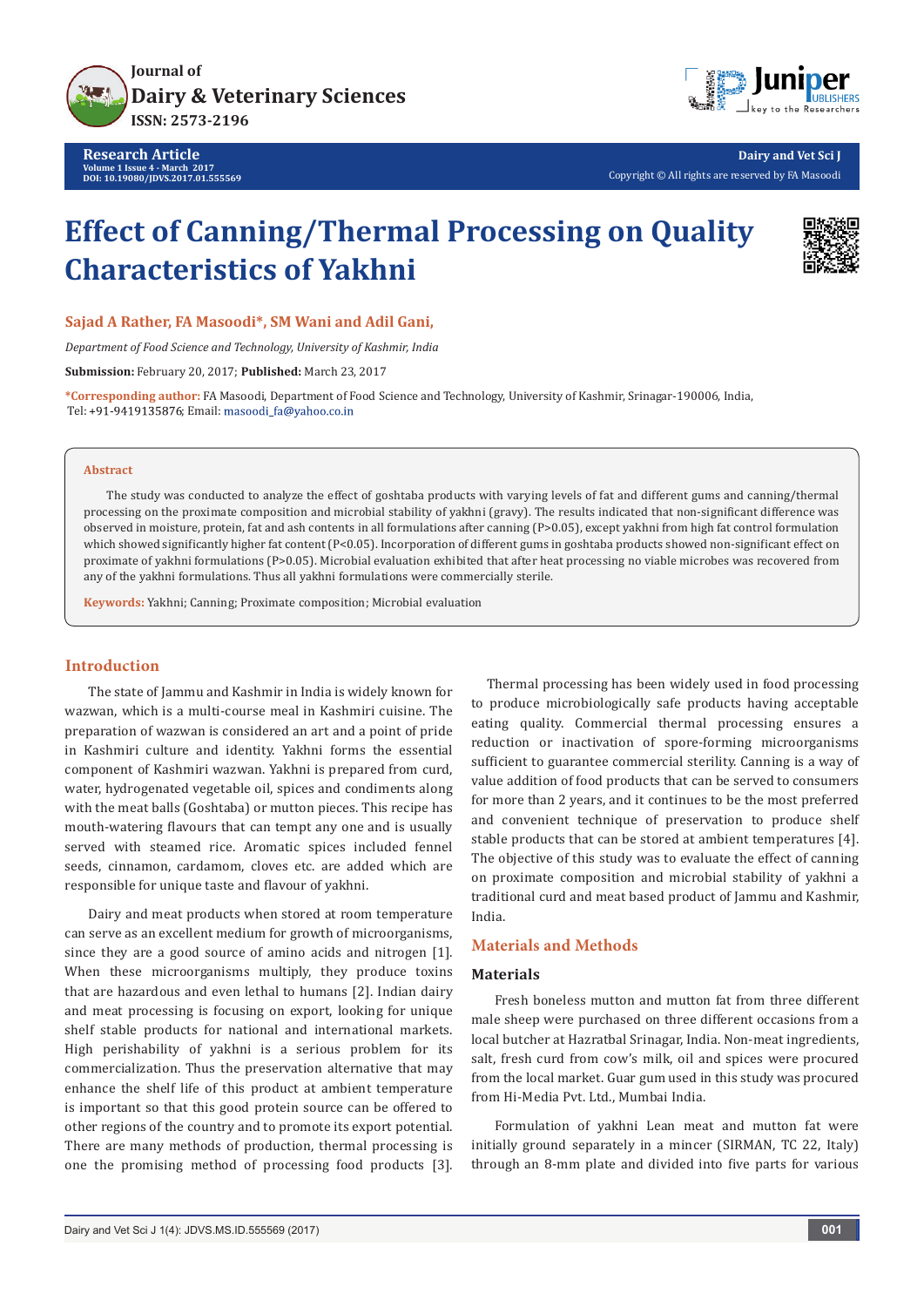

**Research Article Volume 1 Issue 4 - March 2017 DOI: [10.19080/JDVS.2017.01.555569](http://dx.doi.org/10.19080/JDVS.2017.01.555569
)**



**Dairy and Vet Sci J** Copyright © All rights are reserved by FA Masoodi

# **Effect of Canning/Thermal Processing on Quality Characteristics of Yakhni**



**Sajad A Rather, FA Masoodi\*, SM Wani and Adil Gani,** 

*Department of Food Science and Technology, University of Kashmir, India*

**Submission:** February 20, 2017; **Published:** March 23, 2017

**\*Corresponding author:** FA Masoodi, Department of Food Science and Technology, University of Kashmir, Srinagar-190006, India, Tel: +91-9419135876; Email: masoodi\_fa@yahoo.co.in

#### **Abstract**

The study was conducted to analyze the effect of goshtaba products with varying levels of fat and different gums and canning/thermal processing on the proximate composition and microbial stability of yakhni (gravy). The results indicated that non-significant difference was observed in moisture, protein, fat and ash contents in all formulations after canning (P>0.05), except yakhni from high fat control formulation which showed significantly higher fat content (P<0.05). Incorporation of different gums in goshtaba products showed non-significant effect on proximate of yakhni formulations (P>0.05). Microbial evaluation exhibited that after heat processing no viable microbes was recovered from any of the yakhni formulations. Thus all yakhni formulations were commercially sterile.

**Keywords:** Yakhni; Canning; Proximate composition; Microbial evaluation

## **Introduction**

The state of Jammu and Kashmir in India is widely known for wazwan, which is a multi-course meal in Kashmiri cuisine. The preparation of wazwan is considered an art and a point of pride in Kashmiri culture and identity. Yakhni forms the essential component of Kashmiri wazwan. Yakhni is prepared from curd, water, hydrogenated vegetable oil, spices and condiments along with the meat balls (Goshtaba) or mutton pieces. This recipe has mouth-watering flavours that can tempt any one and is usually served with steamed rice. Aromatic spices included fennel seeds, cinnamon, cardamom, cloves etc. are added which are responsible for unique taste and flavour of yakhni.

Dairy and meat products when stored at room temperature can serve as an excellent medium for growth of microorganisms, since they are a good source of amino acids and nitrogen [1]. When these microorganisms multiply, they produce toxins that are hazardous and even lethal to humans [2]. Indian dairy and meat processing is focusing on export, looking for unique shelf stable products for national and international markets. High perishability of yakhni is a serious problem for its commercialization. Thus the preservation alternative that may enhance the shelf life of this product at ambient temperature is important so that this good protein source can be offered to other regions of the country and to promote its export potential. There are many methods of production, thermal processing is one the promising method of processing food products [3].

 Thermal processing has been widely used in food processing to produce microbiologically safe products having acceptable eating quality. Commercial thermal processing ensures a reduction or inactivation of spore-forming microorganisms sufficient to guarantee commercial sterility. Canning is a way of value addition of food products that can be served to consumers for more than 2 years, and it continues to be the most preferred and convenient technique of preservation to produce shelf stable products that can be stored at ambient temperatures [4]. The objective of this study was to evaluate the effect of canning on proximate composition and microbial stability of yakhni a traditional curd and meat based product of Jammu and Kashmir, India.

## **Materials and Methods**

## **Materials**

Fresh boneless mutton and mutton fat from three different male sheep were purchased on three different occasions from a local butcher at Hazratbal Srinagar, India. Non-meat ingredients, salt, fresh curd from cow's milk, oil and spices were procured from the local market. Guar gum used in this study was procured from Hi-Media Pvt. Ltd., Mumbai India.

Formulation of yakhni Lean meat and mutton fat were initially ground separately in a mincer (SIRMAN, TC 22, Italy) through an 8-mm plate and divided into five parts for various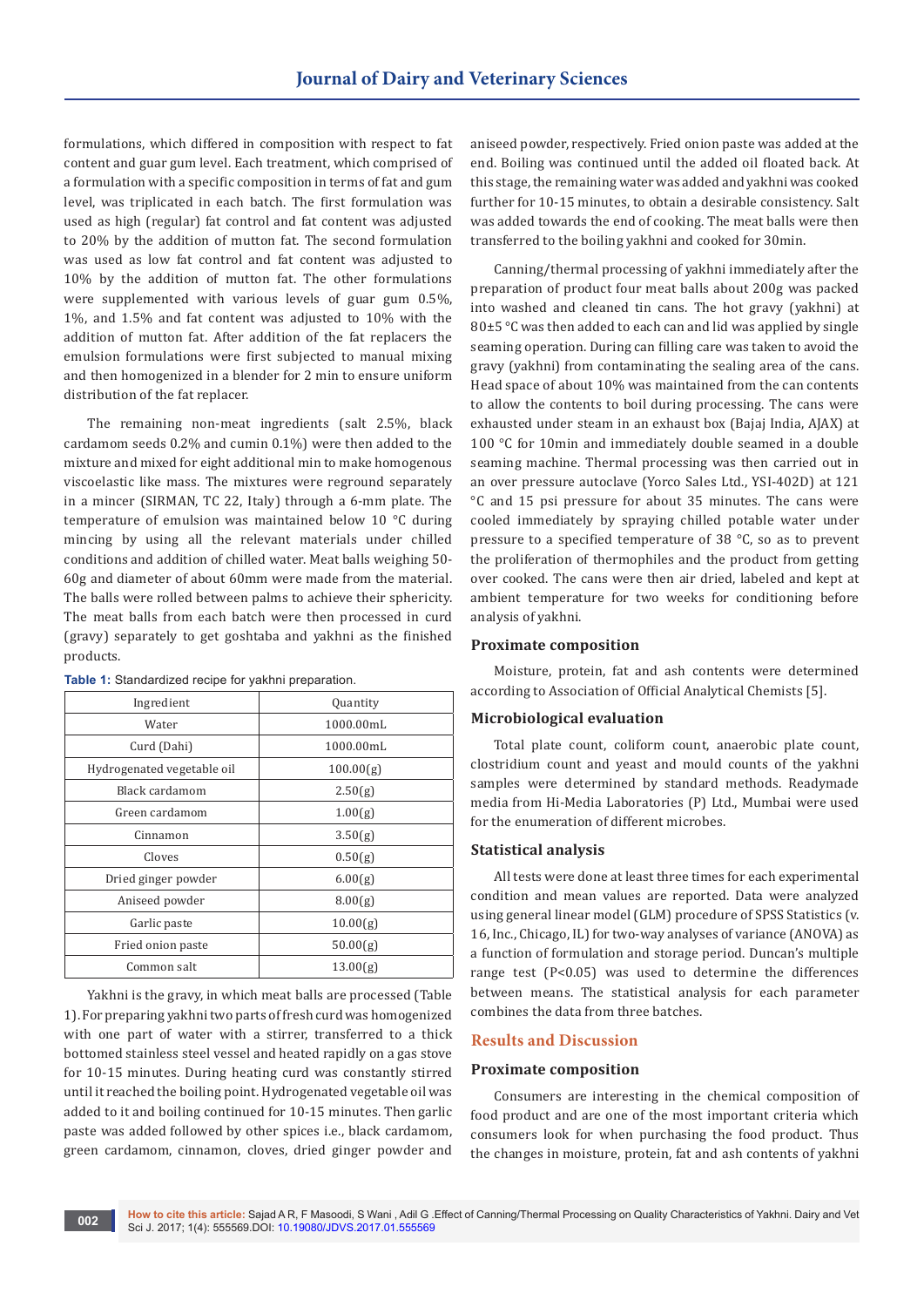formulations, which differed in composition with respect to fat content and guar gum level. Each treatment, which comprised of a formulation with a specific composition in terms of fat and gum level, was triplicated in each batch. The first formulation was used as high (regular) fat control and fat content was adjusted to 20% by the addition of mutton fat. The second formulation was used as low fat control and fat content was adjusted to 10% by the addition of mutton fat. The other formulations were supplemented with various levels of guar gum 0.5%, 1%, and 1.5% and fat content was adjusted to 10% with the addition of mutton fat. After addition of the fat replacers the emulsion formulations were first subjected to manual mixing and then homogenized in a blender for 2 min to ensure uniform distribution of the fat replacer.

The remaining non-meat ingredients (salt 2.5%, black cardamom seeds 0.2% and cumin 0.1%) were then added to the mixture and mixed for eight additional min to make homogenous viscoelastic like mass. The mixtures were reground separately in a mincer (SIRMAN, TC 22, Italy) through a 6-mm plate. The temperature of emulsion was maintained below 10 °C during mincing by using all the relevant materials under chilled conditions and addition of chilled water. Meat balls weighing 50- 60g and diameter of about 60mm were made from the material. The balls were rolled between palms to achieve their sphericity. The meat balls from each batch were then processed in curd (gravy) separately to get goshtaba and yakhni as the finished products.

| Ingredient                 | Quantity  |  |  |  |
|----------------------------|-----------|--|--|--|
| Water                      | 1000.00mL |  |  |  |
| Curd (Dahi)                | 1000.00mL |  |  |  |
| Hydrogenated vegetable oil | 100.00(g) |  |  |  |
| Black cardamom             | 2.50(g)   |  |  |  |
| Green cardamom             | 1.00(g)   |  |  |  |
| Cinnamon                   | 3.50(g)   |  |  |  |
| Cloves                     | 0.50(g)   |  |  |  |
| Dried ginger powder        | 6.00(g)   |  |  |  |
| Aniseed powder             | 8.00(g)   |  |  |  |
| Garlic paste               | 10.00(g)  |  |  |  |
| Fried onion paste          | 50.00(g)  |  |  |  |
| Common salt                | 13.00(g)  |  |  |  |

**Table 1:** Standardized recipe for yakhni preparation.

Yakhni is the gravy, in which meat balls are processed (Table 1). For preparing yakhni two parts of fresh curd was homogenized with one part of water with a stirrer, transferred to a thick bottomed stainless steel vessel and heated rapidly on a gas stove for 10-15 minutes. During heating curd was constantly stirred until it reached the boiling point. Hydrogenated vegetable oil was added to it and boiling continued for 10-15 minutes. Then garlic paste was added followed by other spices i.e., black cardamom, green cardamom, cinnamon, cloves, dried ginger powder and

aniseed powder, respectively. Fried onion paste was added at the end. Boiling was continued until the added oil floated back. At this stage, the remaining water was added and yakhni was cooked further for 10-15 minutes, to obtain a desirable consistency. Salt was added towards the end of cooking. The meat balls were then transferred to the boiling yakhni and cooked for 30min.

Canning/thermal processing of yakhni immediately after the preparation of product four meat balls about 200g was packed into washed and cleaned tin cans. The hot gravy (yakhni) at 80±5 °C was then added to each can and lid was applied by single seaming operation. During can filling care was taken to avoid the gravy (yakhni) from contaminating the sealing area of the cans. Head space of about 10% was maintained from the can contents to allow the contents to boil during processing. The cans were exhausted under steam in an exhaust box (Bajaj India, AJAX) at 100 °C for 10min and immediately double seamed in a double seaming machine. Thermal processing was then carried out in an over pressure autoclave (Yorco Sales Ltd., YSI-402D) at 121 °C and 15 psi pressure for about 35 minutes. The cans were cooled immediately by spraying chilled potable water under pressure to a specified temperature of 38 °C, so as to prevent the proliferation of thermophiles and the product from getting over cooked. The cans were then air dried, labeled and kept at ambient temperature for two weeks for conditioning before analysis of yakhni.

#### **Proximate composition**

Moisture, protein, fat and ash contents were determined according to Association of Official Analytical Chemists [5].

## **Microbiological evaluation**

Total plate count, coliform count, anaerobic plate count, clostridium count and yeast and mould counts of the yakhni samples were determined by standard methods. Readymade media from Hi-Media Laboratories (P) Ltd., Mumbai were used for the enumeration of different microbes.

## **Statistical analysis**

All tests were done at least three times for each experimental condition and mean values are reported. Data were analyzed using general linear model (GLM) procedure of SPSS Statistics (v. 16, Inc., Chicago, IL) for two-way analyses of variance (ANOVA) as a function of formulation and storage period. Duncan's multiple range test (P<0.05) was used to determine the differences between means. The statistical analysis for each parameter combines the data from three batches.

#### **Results and Discussion**

#### **Proximate composition**

Consumers are interesting in the chemical composition of food product and are one of the most important criteria which consumers look for when purchasing the food product. Thus the changes in moisture, protein, fat and ash contents of yakhni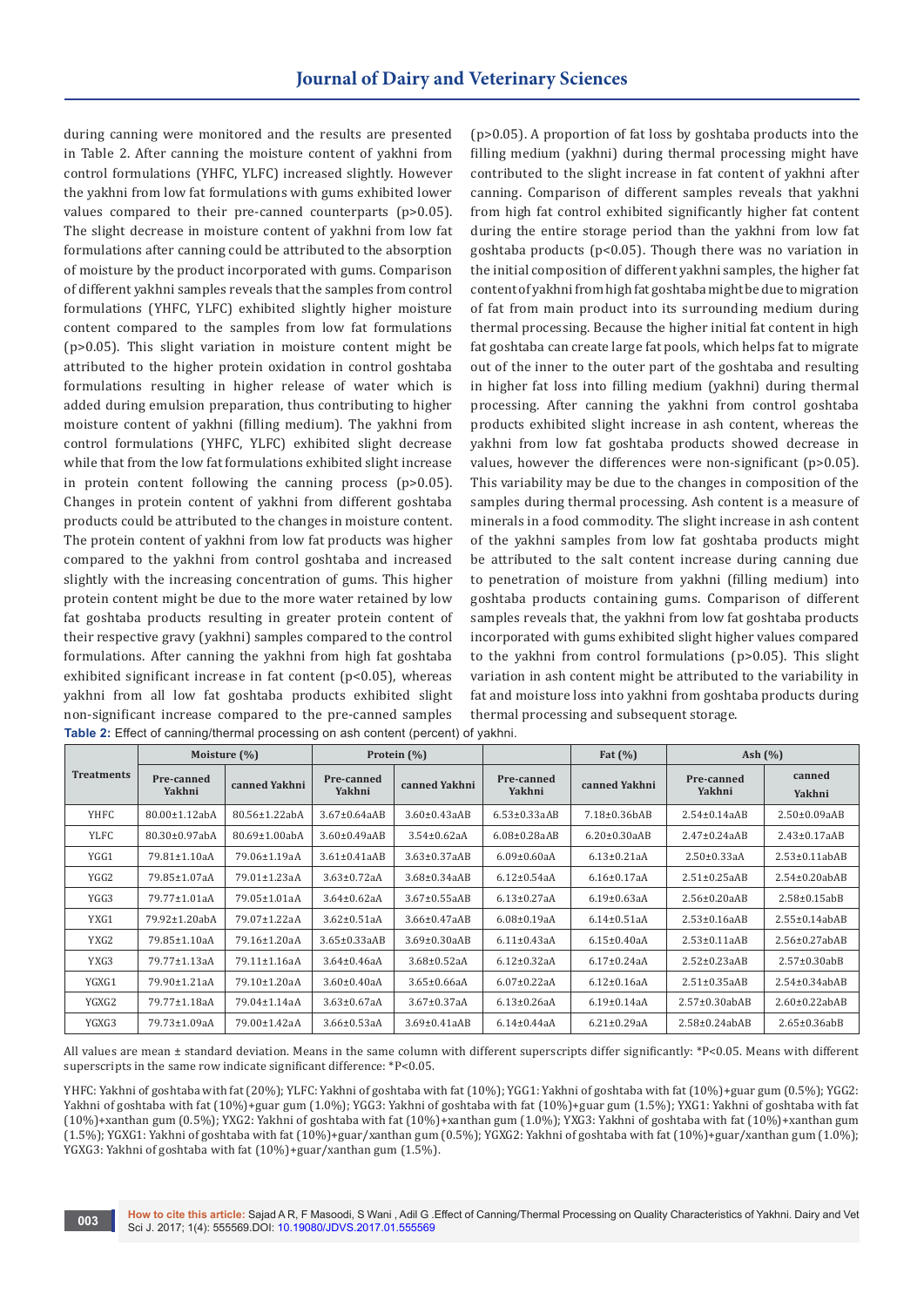during canning were monitored and the results are presented in Table 2. After canning the moisture content of yakhni from control formulations (YHFC, YLFC) increased slightly. However the yakhni from low fat formulations with gums exhibited lower values compared to their pre-canned counterparts (p>0.05). The slight decrease in moisture content of yakhni from low fat formulations after canning could be attributed to the absorption of moisture by the product incorporated with gums. Comparison of different yakhni samples reveals that the samples from control formulations (YHFC, YLFC) exhibited slightly higher moisture content compared to the samples from low fat formulations (p>0.05). This slight variation in moisture content might be attributed to the higher protein oxidation in control goshtaba formulations resulting in higher release of water which is added during emulsion preparation, thus contributing to higher moisture content of yakhni (filling medium). The yakhni from control formulations (YHFC, YLFC) exhibited slight decrease while that from the low fat formulations exhibited slight increase in protein content following the canning process (p>0.05). Changes in protein content of yakhni from different goshtaba products could be attributed to the changes in moisture content. The protein content of yakhni from low fat products was higher compared to the yakhni from control goshtaba and increased slightly with the increasing concentration of gums. This higher protein content might be due to the more water retained by low fat goshtaba products resulting in greater protein content of their respective gravy (yakhni) samples compared to the control formulations. After canning the yakhni from high fat goshtaba exhibited significant increase in fat content (p<0.05), whereas yakhni from all low fat goshtaba products exhibited slight non-significant increase compared to the pre-canned samples

(p>0.05). A proportion of fat loss by goshtaba products into the filling medium (yakhni) during thermal processing might have contributed to the slight increase in fat content of yakhni after canning. Comparison of different samples reveals that yakhni from high fat control exhibited significantly higher fat content during the entire storage period than the yakhni from low fat goshtaba products (p<0.05). Though there was no variation in the initial composition of different yakhni samples, the higher fat content of yakhni from high fat goshtaba might be due to migration of fat from main product into its surrounding medium during thermal processing. Because the higher initial fat content in high fat goshtaba can create large fat pools, which helps fat to migrate out of the inner to the outer part of the goshtaba and resulting in higher fat loss into filling medium (yakhni) during thermal processing. After canning the yakhni from control goshtaba products exhibited slight increase in ash content, whereas the yakhni from low fat goshtaba products showed decrease in values, however the differences were non-significant (p>0.05). This variability may be due to the changes in composition of the samples during thermal processing. Ash content is a measure of minerals in a food commodity. The slight increase in ash content of the yakhni samples from low fat goshtaba products might be attributed to the salt content increase during canning due to penetration of moisture from yakhni (filling medium) into goshtaba products containing gums. Comparison of different samples reveals that, the yakhni from low fat goshtaba products incorporated with gums exhibited slight higher values compared to the yakhni from control formulations (p>0.05). This slight variation in ash content might be attributed to the variability in fat and moisture loss into yakhni from goshtaba products during thermal processing and subsequent storage.

|                   | Moisture $(\%)$      |                      | Protein (%)          |                     |                      | Fat $(\%)$          | Ash $(\% )$          |                     |
|-------------------|----------------------|----------------------|----------------------|---------------------|----------------------|---------------------|----------------------|---------------------|
| <b>Treatments</b> | Pre-canned<br>Yakhni | canned Yakhni        | Pre-canned<br>Yakhni | canned Yakhni       | Pre-canned<br>Yakhni | canned Yakhni       | Pre-canned<br>Yakhni | canned<br>Yakhni    |
| YHFC              | $80.00 \pm 1.12$ abA | 80.56±1.22abA        | $3.67 \pm 0.64$ aAB  | $3.60 \pm 0.43$ aAB | $6.53\pm0.33aAB$     | 7.18±0.36bAB        | $2.54 \pm 0.14$ aAB  | $2.50 \pm 0.09aAB$  |
| <b>YLFC</b>       | $80.30 \pm 0.97$ abA | $80.69 \pm 1.00$ abA | $3.60 \pm 0.49$ aAB  | $3.54 \pm 0.62$ aA  | $6.08\pm0.28$ aAB    | $6.20 \pm 0.30$ aAB | $2.47 \pm 0.24$ aAB  | $2.43 \pm 0.17$ aAB |
| YGG1              | 79.81±1.10aA         | 79.06±1.19aA         | $3.61\pm0.41aAB$     | $3.63 \pm 0.37$ aAB | $6.09 \pm 0.60$ aA   | $6.13 \pm 0.21$ aA  | $2.50 \pm 0.33$ aA   | $2.53\pm0.11abAB$   |
| YGG2              | 79.85±1.07aA         | 79.01±1.23aA         | $3.63 \pm 0.72$ aA   | $3.68\pm0.34aAB$    | $6.12 \pm 0.54$ aA   | $6.16 \pm 0.17$ aA  | $2.51 \pm 0.25$ aAB  | $2.54\pm0.20$ abAB  |
| YGG3              | 79.77±1.01aA         | 79.05±1.01aA         | $3.64 \pm 0.62$ aA   | $3.67\pm0.55aAB$    | $6.13 \pm 0.27$ aA   | $6.19 \pm 0.63$ aA  | $2.56 \pm 0.20$ aAB  | $2.58\pm0.15$ abB   |
| YXG1              | 79.92±1.20abA        | 79.07±1.22aA         | $3.62 \pm 0.51$ aA   | $3.66 \pm 0.47$ aAB | $6.08 \pm 0.19$ aA   | $6.14 \pm 0.51$ aA  | $2.53\pm0.16aAB$     | $2.55\pm0.14abAB$   |
| YXG2              | 79.85±1.10aA         | 79.16±1.20aA         | $3.65 \pm 0.33$ aAB  | $3.69 \pm 0.30$ aAB | $6.11 \pm 0.43$ aA   | $6.15 \pm 0.40$ aA  | $2.53\pm0.11aAB$     | $2.56\pm0.27$ abAB  |
| YXG3              | 79.77±1.13aA         | 79.11±1.16aA         | $3.64 \pm 0.46$ aA   | $3.68 \pm 0.52$ aA  | $6.12 \pm 0.32$ aA   | $6.17 \pm 0.24$ aA  | $2.52 \pm 0.23$ aAB  | $2.57 \pm 0.30$ abB |
| YGXG1             | 79.90±1.21aA         | 79.10±1.20aA         | $3.60 \pm 0.40$ aA   | $3.65 \pm 0.66$ aA  | $6.07 \pm 0.22$ aA   | $6.12 \pm 0.16$ aA  | $2.51\pm0.35aAB$     | $2.54\pm0.34abAB$   |
| YGXG2             | 79.77±1.18aA         | 79.04±1.14aA         | $3.63 \pm 0.67$ aA   | $3.67 \pm 0.37$ aA  | $6.13 \pm 0.26$ aA   | $6.19 \pm 0.14$ aA  | $2.57\pm0.30$ abAB   | $2.60\pm0.22$ abAB  |
| YGXG3             | 79.73±1.09aA         | 79.00±1.42aA         | 3.66±0.53aA          | $3.69\pm0.41aAB$    | $6.14 \pm 0.44$ aA   | $6.21 \pm 0.29$ aA  | $2.58\pm0.24abAB$    | $2.65 \pm 0.36$ abB |

**Table 2:** Effect of canning/thermal processing on ash content (percent) of yakhni.

All values are mean ± standard deviation. Means in the same column with different superscripts differ significantly: \*P<0.05. Means with different superscripts in the same row indicate significant difference: \*P<0.05.

YHFC: Yakhni of goshtaba with fat (20%); YLFC: Yakhni of goshtaba with fat (10%); YGG1: Yakhni of goshtaba with fat (10%)+guar gum (0.5%); YGG2: Yakhni of goshtaba with fat (10%)+guar gum (1.0%); YGG3: Yakhni of goshtaba with fat (10%)+guar gum (1.5%); YXG1: Yakhni of goshtaba with fat (10%)+xanthan gum (0.5%); YXG2: Yakhni of goshtaba with fat (10%)+xanthan gum (1.0%); YXG3: Yakhni of goshtaba with fat (10%)+xanthan gum (1.5%); YGXG1: Yakhni of goshtaba with fat (10%)+guar/xanthan gum (0.5%); YGXG2: Yakhni of goshtaba with fat (10%)+guar/xanthan gum (1.0%); YGXG3: Yakhni of goshtaba with fat (10%)+guar/xanthan gum (1.5%).